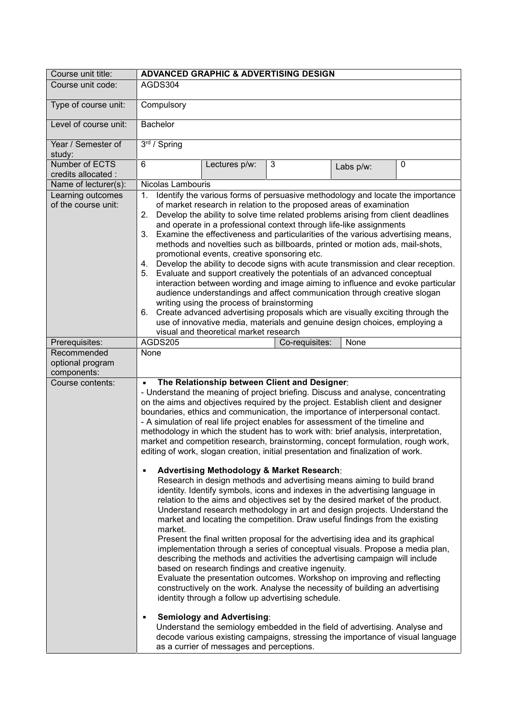| Course unit title:                             | <b>ADVANCED GRAPHIC &amp; ADVERTISING DESIGN</b>                                                                                                                                                                                                                                                                                                                                                                                                                                                                                                                                                                                                                                                                                                                                                                                                                                                                                                                                                                                                                                                                                                                                                                                                                                                                                                                                                                                                                                                                                                                                                                                                                                                                                                                                                 |
|------------------------------------------------|--------------------------------------------------------------------------------------------------------------------------------------------------------------------------------------------------------------------------------------------------------------------------------------------------------------------------------------------------------------------------------------------------------------------------------------------------------------------------------------------------------------------------------------------------------------------------------------------------------------------------------------------------------------------------------------------------------------------------------------------------------------------------------------------------------------------------------------------------------------------------------------------------------------------------------------------------------------------------------------------------------------------------------------------------------------------------------------------------------------------------------------------------------------------------------------------------------------------------------------------------------------------------------------------------------------------------------------------------------------------------------------------------------------------------------------------------------------------------------------------------------------------------------------------------------------------------------------------------------------------------------------------------------------------------------------------------------------------------------------------------------------------------------------------------|
| Course unit code:                              | AGDS304                                                                                                                                                                                                                                                                                                                                                                                                                                                                                                                                                                                                                                                                                                                                                                                                                                                                                                                                                                                                                                                                                                                                                                                                                                                                                                                                                                                                                                                                                                                                                                                                                                                                                                                                                                                          |
| Type of course unit:                           | Compulsory                                                                                                                                                                                                                                                                                                                                                                                                                                                                                                                                                                                                                                                                                                                                                                                                                                                                                                                                                                                                                                                                                                                                                                                                                                                                                                                                                                                                                                                                                                                                                                                                                                                                                                                                                                                       |
| Level of course unit:                          | Bachelor                                                                                                                                                                                                                                                                                                                                                                                                                                                                                                                                                                                                                                                                                                                                                                                                                                                                                                                                                                                                                                                                                                                                                                                                                                                                                                                                                                                                                                                                                                                                                                                                                                                                                                                                                                                         |
| Year / Semester of<br>study:                   | 3rd / Spring                                                                                                                                                                                                                                                                                                                                                                                                                                                                                                                                                                                                                                                                                                                                                                                                                                                                                                                                                                                                                                                                                                                                                                                                                                                                                                                                                                                                                                                                                                                                                                                                                                                                                                                                                                                     |
| Number of ECTS<br>credits allocated :          | 6<br>3<br>0<br>Lectures p/w:<br>Labs p/w:                                                                                                                                                                                                                                                                                                                                                                                                                                                                                                                                                                                                                                                                                                                                                                                                                                                                                                                                                                                                                                                                                                                                                                                                                                                                                                                                                                                                                                                                                                                                                                                                                                                                                                                                                        |
| Name of lecturer(s):                           | Nicolas Lambouris                                                                                                                                                                                                                                                                                                                                                                                                                                                                                                                                                                                                                                                                                                                                                                                                                                                                                                                                                                                                                                                                                                                                                                                                                                                                                                                                                                                                                                                                                                                                                                                                                                                                                                                                                                                |
| Learning outcomes<br>of the course unit:       | Identify the various forms of persuasive methodology and locate the importance<br>1.<br>of market research in relation to the proposed areas of examination<br>Develop the ability to solve time related problems arising from client deadlines<br>2.<br>and operate in a professional context through life-like assignments<br>Examine the effectiveness and particularities of the various advertising means,<br>3.<br>methods and novelties such as billboards, printed or motion ads, mail-shots,<br>promotional events, creative sponsoring etc.<br>4. Develop the ability to decode signs with acute transmission and clear reception.<br>Evaluate and support creatively the potentials of an advanced conceptual<br>5.<br>interaction between wording and image aiming to influence and evoke particular<br>audience understandings and affect communication through creative slogan<br>writing using the process of brainstorming<br>6. Create advanced advertising proposals which are visually exciting through the<br>use of innovative media, materials and genuine design choices, employing a<br>visual and theoretical market research                                                                                                                                                                                                                                                                                                                                                                                                                                                                                                                                                                                                                                           |
| Prerequisites:                                 | AGDS205<br>Co-requisites:<br>None                                                                                                                                                                                                                                                                                                                                                                                                                                                                                                                                                                                                                                                                                                                                                                                                                                                                                                                                                                                                                                                                                                                                                                                                                                                                                                                                                                                                                                                                                                                                                                                                                                                                                                                                                                |
| Recommended<br>optional program<br>components: | None                                                                                                                                                                                                                                                                                                                                                                                                                                                                                                                                                                                                                                                                                                                                                                                                                                                                                                                                                                                                                                                                                                                                                                                                                                                                                                                                                                                                                                                                                                                                                                                                                                                                                                                                                                                             |
| Course contents:                               | The Relationship between Client and Designer:<br>$\blacksquare$<br>- Understand the meaning of project briefing. Discuss and analyse, concentrating<br>on the aims and objectives required by the project. Establish client and designer<br>boundaries, ethics and communication, the importance of interpersonal contact.<br>- A simulation of real life project enables for assessment of the timeline and<br>methodology in which the student has to work with: brief analysis, interpretation,<br>market and competition research, brainstorming, concept formulation, rough work,<br>editing of work, slogan creation, initial presentation and finalization of work.<br>Advertising Methodology & Market Research:<br>П<br>Research in design methods and advertising means aiming to build brand<br>identity. Identify symbols, icons and indexes in the advertising language in<br>relation to the aims and objectives set by the desired market of the product.<br>Understand research methodology in art and design projects. Understand the<br>market and locating the competition. Draw useful findings from the existing<br>market.<br>Present the final written proposal for the advertising idea and its graphical<br>implementation through a series of conceptual visuals. Propose a media plan,<br>describing the methods and activities the advertising campaign will include<br>based on research findings and creative ingenuity.<br>Evaluate the presentation outcomes. Workshop on improving and reflecting<br>constructively on the work. Analyse the necessity of building an advertising<br>identity through a follow up advertising schedule.<br><b>Semiology and Advertising:</b><br>٠<br>Understand the semiology embedded in the field of advertising. Analyse and |
|                                                | decode various existing campaigns, stressing the importance of visual language<br>as a currier of messages and perceptions.                                                                                                                                                                                                                                                                                                                                                                                                                                                                                                                                                                                                                                                                                                                                                                                                                                                                                                                                                                                                                                                                                                                                                                                                                                                                                                                                                                                                                                                                                                                                                                                                                                                                      |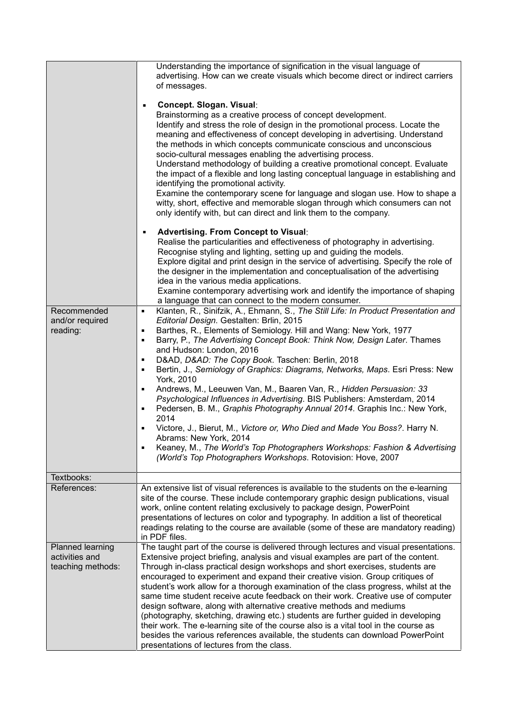|                                                         | Understanding the importance of signification in the visual language of<br>advertising. How can we create visuals which become direct or indirect carriers<br>of messages.                                                                                                                                                                                                                                                                                                                                                                                                                                                                                                                                                                                                                                                                                                                                                                                                                     |
|---------------------------------------------------------|------------------------------------------------------------------------------------------------------------------------------------------------------------------------------------------------------------------------------------------------------------------------------------------------------------------------------------------------------------------------------------------------------------------------------------------------------------------------------------------------------------------------------------------------------------------------------------------------------------------------------------------------------------------------------------------------------------------------------------------------------------------------------------------------------------------------------------------------------------------------------------------------------------------------------------------------------------------------------------------------|
|                                                         | Concept. Slogan. Visual:<br>٠<br>Brainstorming as a creative process of concept development.<br>Identify and stress the role of design in the promotional process. Locate the<br>meaning and effectiveness of concept developing in advertising. Understand<br>the methods in which concepts communicate conscious and unconscious<br>socio-cultural messages enabling the advertising process.<br>Understand methodology of building a creative promotional concept. Evaluate<br>the impact of a flexible and long lasting conceptual language in establishing and<br>identifying the promotional activity.<br>Examine the contemporary scene for language and slogan use. How to shape a<br>witty, short, effective and memorable slogan through which consumers can not<br>only identify with, but can direct and link them to the company.                                                                                                                                                 |
|                                                         | Advertising. From Concept to Visual:<br>٠<br>Realise the particularities and effectiveness of photography in advertising.<br>Recognise styling and lighting, setting up and guiding the models.<br>Explore digital and print design in the service of advertising. Specify the role of<br>the designer in the implementation and conceptualisation of the advertising<br>idea in the various media applications.<br>Examine contemporary advertising work and identify the importance of shaping<br>a language that can connect to the modern consumer.                                                                                                                                                                                                                                                                                                                                                                                                                                        |
| Recommended<br>and/or required<br>reading:              | Klanten, R., Sinifzik, A., Ehmann, S., The Still Life: In Product Presentation and<br>٠<br>Editorial Design. Gestalten: Brlin, 2015<br>Barthes, R., Elements of Semiology. Hill and Wang: New York, 1977<br>٠<br>Barry, P., The Advertising Concept Book: Think Now, Design Later. Thames<br>п<br>and Hudson: London, 2016<br>D&AD, D&AD: The Copy Book. Taschen: Berlin, 2018<br>п<br>Bertin, J., Semiology of Graphics: Diagrams, Networks, Maps. Esri Press: New<br>п<br>York, 2010<br>Andrews, M., Leeuwen Van, M., Baaren Van, R., Hidden Persuasion: 33<br>٠<br>Psychological Influences in Advertising. BIS Publishers: Amsterdam, 2014<br>Pedersen, B. M., Graphis Photography Annual 2014. Graphis Inc.: New York,<br>٠<br>2014<br>Victore, J., Bierut, M., Victore or, Who Died and Made You Boss?. Harry N.<br>Abrams: New York. 2014<br>Keaney, M., The World's Top Photographers Workshops: Fashion & Advertising<br>(World's Top Photographers Workshops. Rotovision: Hove, 2007 |
| Textbooks:                                              |                                                                                                                                                                                                                                                                                                                                                                                                                                                                                                                                                                                                                                                                                                                                                                                                                                                                                                                                                                                                |
| References:                                             | An extensive list of visual references is available to the students on the e-learning<br>site of the course. These include contemporary graphic design publications, visual<br>work, online content relating exclusively to package design, PowerPoint<br>presentations of lectures on color and typography. In addition a list of theoretical<br>readings relating to the course are available (some of these are mandatory reading)<br>in PDF files.                                                                                                                                                                                                                                                                                                                                                                                                                                                                                                                                         |
| Planned learning<br>activities and<br>teaching methods: | The taught part of the course is delivered through lectures and visual presentations.<br>Extensive project briefing, analysis and visual examples are part of the content.<br>Through in-class practical design workshops and short exercises, students are<br>encouraged to experiment and expand their creative vision. Group critiques of<br>student's work allow for a thorough examination of the class progress, whilst at the<br>same time student receive acute feedback on their work. Creative use of computer<br>design software, along with alternative creative methods and mediums<br>(photography, sketching, drawing etc.) students are further guided in developing<br>their work. The e-learning site of the course also is a vital tool in the course as<br>besides the various references available, the students can download PowerPoint<br>presentations of lectures from the class.                                                                                     |